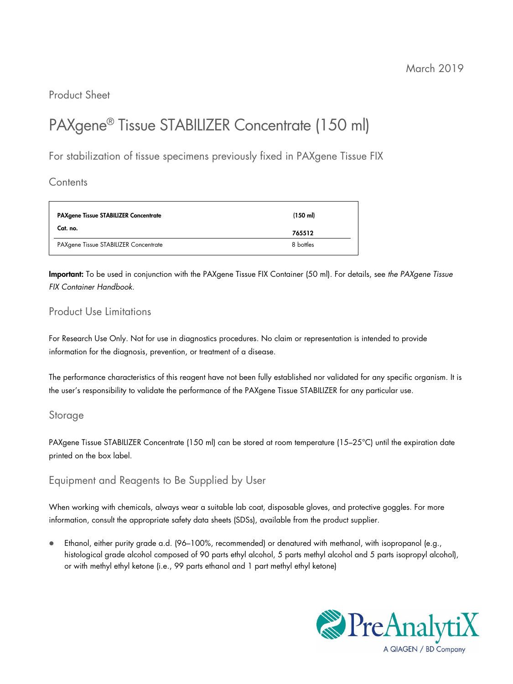Product Sheet

# PAXgene® Tissue STABILIZER Concentrate (150 ml)

For stabilization of tissue specimens previously fixed in PAXgene Tissue FIX

**Contents** 

| <b>PAXgene Tissue STABILIZER Concentrate</b> | $(150 \text{ ml})$ |  |
|----------------------------------------------|--------------------|--|
| Cat. no.                                     | 765512             |  |
| PAXgene Tissue STABILIZER Concentrate        | 8 bottles          |  |

Important: To be used in conjunction with the PAXgene Tissue FIX Container (50 ml). For details, see the PAXgene Tissue FIX Container Handbook.

# Product Use Limitations

For Research Use Only. Not for use in diagnostics procedures. No claim or representation is intended to provide information for the diagnosis, prevention, or treatment of a disease.

The performance characteristics of this reagent have not been fully established nor validated for any specific organism. It is the user's responsibility to validate the performance of the PAXgene Tissue STABILIZER for any particular use.

# Storage

PAXgene Tissue STABILIZER Concentrate (150 ml) can be stored at room temperature (15–25°C) until the expiration date printed on the box label.

Equipment and Reagents to Be Supplied by User

When working with chemicals, always wear a suitable lab coat, disposable gloves, and protective goggles. For more information, consult the appropriate safety data sheets (SDSs), available from the product supplier.

 Ethanol, either purity grade a.d. (96–100%, recommended) or denatured with methanol, with isopropanol (e.g., histological grade alcohol composed of 90 parts ethyl alcohol, 5 parts methyl alcohol and 5 parts isopropyl alcohol), or with methyl ethyl ketone (i.e., 99 parts ethanol and 1 part methyl ethyl ketone)

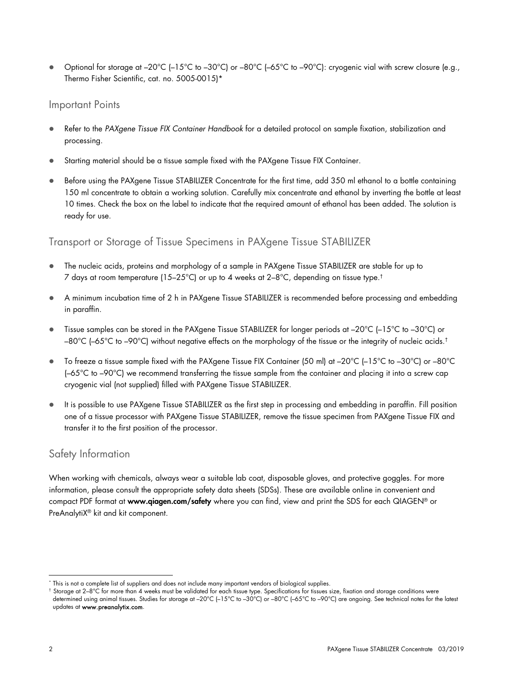● Optional for storage at –20°C (–15°C to –30°C) or –80°C (–65°C to –90°C): cryogenic vial with screw closure (e.g., Thermo Fisher Scientific, cat. no. 5005-0015)\*

### Important Points

- Refer to the PAXgene Tissue FIX Container Handbook for a detailed protocol on sample fixation, stabilization and processing.
- Starting material should be a tissue sample fixed with the PAXgene Tissue FIX Container.
- Before using the PAXgene Tissue STABILIZER Concentrate for the first time, add 350 ml ethanol to a bottle containing 150 ml concentrate to obtain a working solution. Carefully mix concentrate and ethanol by inverting the bottle at least 10 times. Check the box on the label to indicate that the required amount of ethanol has been added. The solution is ready for use.

# Transport or Storage of Tissue Specimens in PAXgene Tissue STABILIZER

- The nucleic acids, proteins and morphology of a sample in PAXgene Tissue STABILIZER are stable for up to 7 days at room temperature (15–25°C) or up to 4 weeks at  $2-8^{\circ}$ C, depending on tissue type.<sup>†</sup>
- A minimum incubation time of 2 h in PAXgene Tissue STABILIZER is recommended before processing and embedding in paraffin.
- Tissue samples can be stored in the PAXgene Tissue STABILIZER for longer periods at –20°C (–15°C to –30°C) or –80°C (–65°C to –90°C) without negative effects on the morphology of the tissue or the integrity of nucleic acids.<sup>†</sup>
- To freeze a tissue sample fixed with the PAXgene Tissue FIX Container (50 ml) at –20°C (–15°C to –30°C) or –80°C (–65°C to –90°C) we recommend transferring the tissue sample from the container and placing it into a screw cap cryogenic vial (not supplied) filled with PAXgene Tissue STABILIZER.
- It is possible to use PAXgene Tissue STABILIZER as the first step in processing and embedding in paraffin. Fill position one of a tissue processor with PAXgene Tissue STABILIZER, remove the tissue specimen from PAXgene Tissue FIX and transfer it to the first position of the processor.

# Safety Information

When working with chemicals, always wear a suitable lab coat, disposable gloves, and protective goggles. For more information, please consult the appropriate safety data sheets (SDSs). These are available online in convenient and compact PDF format at www.qiagen.com/safety where you can find, view and print the SDS for each QIAGEN® or PreAnalytiX® kit and kit component.

 \* This is not a complete list of suppliers and does not include many important vendors of biological supplies.

<sup>†</sup> Storage at 2–8°C for more than 4 weeks must be validated for each tissue type. Specifications for tissues size, fixation and storage conditions were determined using animal tissues. Studies for storage at –20°C (–15°C to –30°C) or –80°C (–65°C to –90°C) are ongoing. See technical notes for the latest updates at www.preanalytix.com.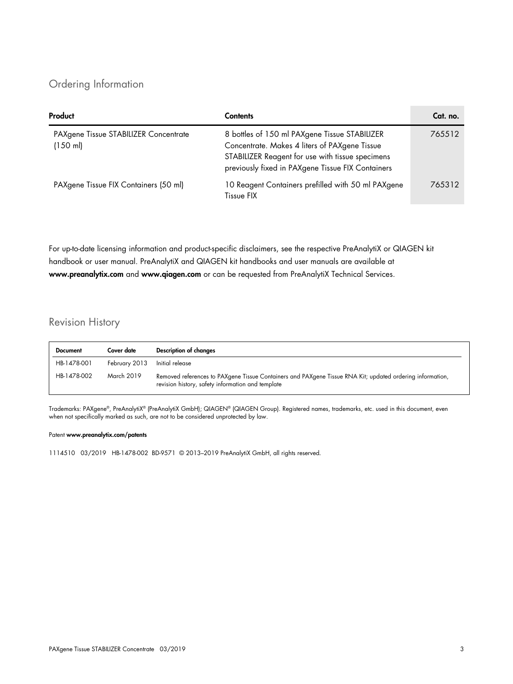# Ordering Information

| Product                                                     | <b>Contents</b>                                                                                                                                                                                         | Cat. no. |
|-------------------------------------------------------------|---------------------------------------------------------------------------------------------------------------------------------------------------------------------------------------------------------|----------|
| PAXgene Tissue STABILIZER Concentrate<br>$(150 \text{ ml})$ | 8 bottles of 150 ml PAXgene Tissue STABILIZER<br>Concentrate. Makes 4 liters of PAXgene Tissue<br>STABILIZER Reagent for use with tissue specimens<br>previously fixed in PAXgene Tissue FIX Containers | 765512   |
| PAXgene Tissue FIX Containers (50 ml)                       | 10 Reagent Containers prefilled with 50 ml PAXgene<br>Tissue FIX                                                                                                                                        | 765312   |

For up-to-date licensing information and product-specific disclaimers, see the respective PreAnalytiX or QIAGEN kit handbook or user manual. PreAnalytiX and QIAGEN kit handbooks and user manuals are available at www.preanalytix.com and www.qiagen.com or can be requested from PreAnalytiX Technical Services.

# Revision History

| <b>Document</b> | Cover date    | Description of changes                                                                                                                                         |
|-----------------|---------------|----------------------------------------------------------------------------------------------------------------------------------------------------------------|
| HB-1478-001     | February 2013 | Initial release                                                                                                                                                |
| HB-1478-002     | March 2019    | Removed references to PAXgene Tissue Containers and PAXgene Tissue RNA Kit; updated ordering information,<br>revision history, safety information and template |

Trademarks: PAXgene®, PreAnalytiX® (PreAnalytiX GmbH); QIAGEN® (QIAGEN Group). Registered names, trademarks, etc. used in this document, even when not specifically marked as such, are not to be considered unprotected by law.

### Patent www.preanalytix.com/patents

1114510 03/2019 HB-1478-002 BD-9571 © 2013–2019 PreAnalytiX GmbH, all rights reserved.